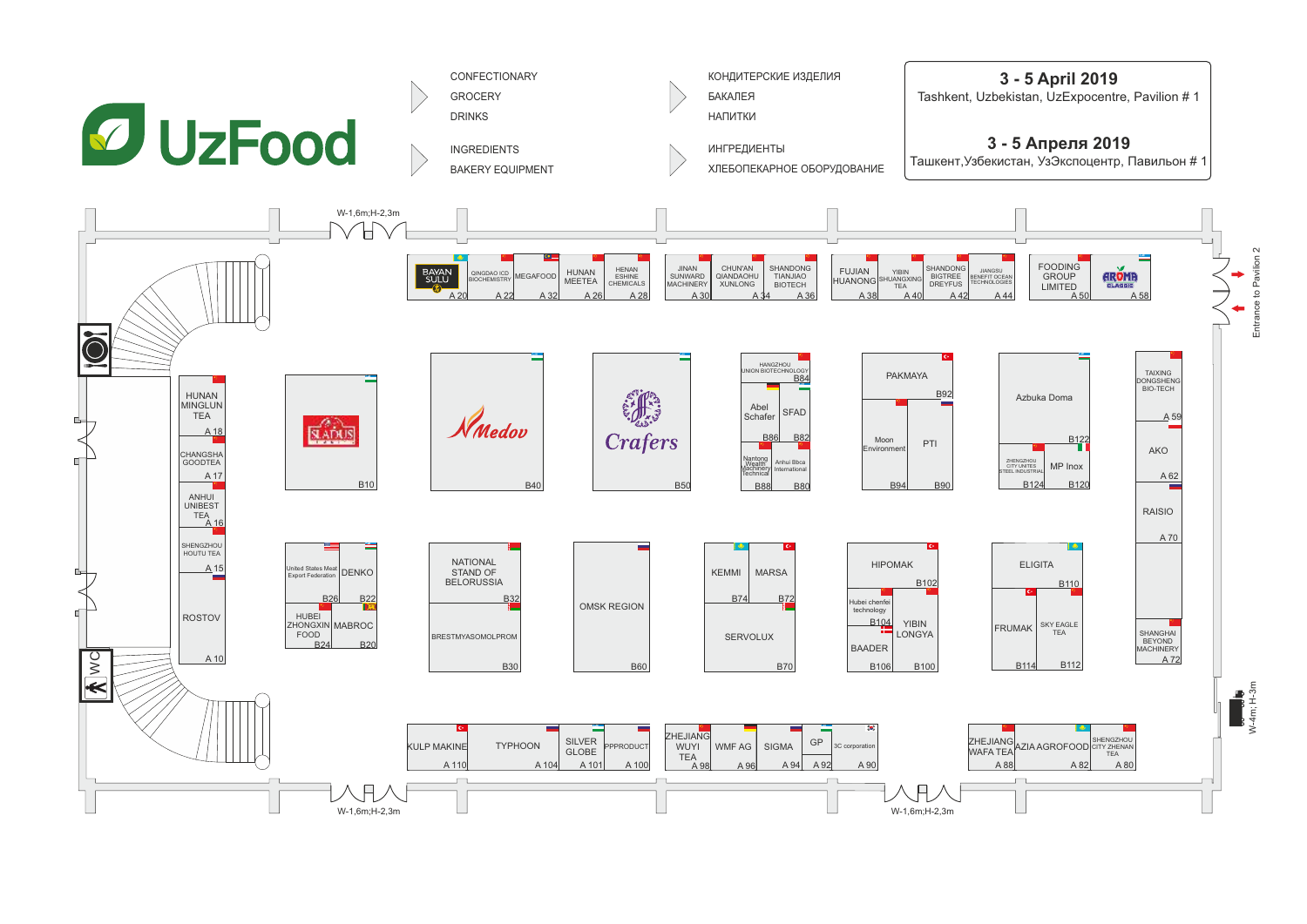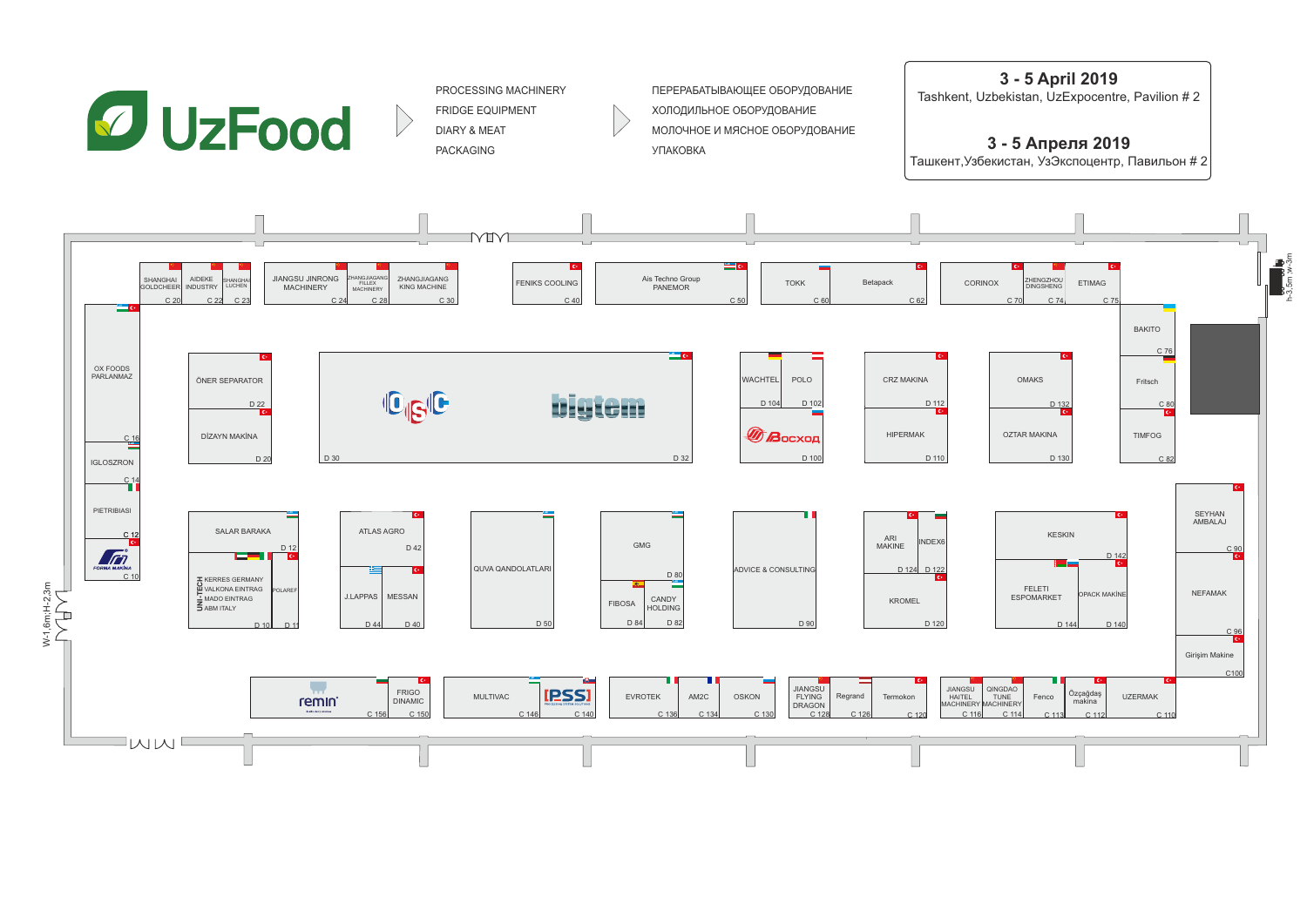